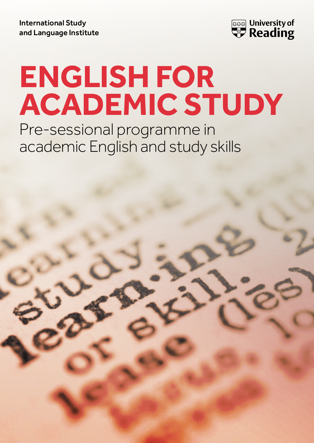International Study and Language Institute



# **ENGLISH FOR ACADEMIC STUDY**

Pre-sessional programme in academic English and study skills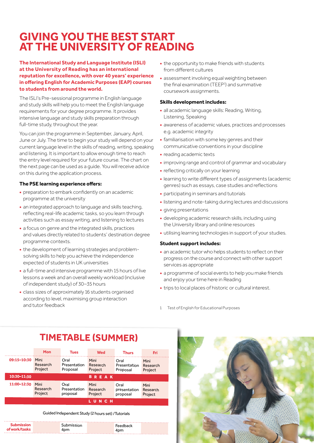# **GIVING YOU THE BEST START AT THE UNIVERSITY OF READING**

#### **The International Study and Language Institute (ISLI) at the University of Reading has an international reputation for excellence, with over 40 years' experience in offering English for Academic Purposes (EAP) courses to students from around the world.**

The ISLI's Pre-sessional programme in English language and study skills will help you to meet the English language requirements for your degree programme. It provides intensive language and study skills preparation through full-time study, throughout the year.

You can join the programme in September, January, April, June or July. The time to begin your study will depend on your current language level in the skills of reading, writing, speaking and listening. It is important to allow enough time to reach the entry level required for your future course. The chart on the next page can be used as a guide. You will receive advice on this during the application process.

#### **The PSE learning experience offers:**

- **•** preparation to embark confidently on an academic programme at the university
- **•** an integrated approach to language and skills teaching, reflecting real-life academic tasks, so you learn through activities such as essay writing, and listening to lectures
- **•** a focus on genre and the integrated skills, practices and values directly related to students' destination degree programme contexts.
- **•** the development of learning strategies and problemsolving skills to help you achieve the independence expected of students in UK universities
- **•** a full-time and intensive programme with 15 hours of live lessons a week and an overall weekly workload (inclusive of independent study) of 30–35 hours
- **•** class sizes of approximately 16 students organised according to level, maximising group interaction and tutor feedback
- **•** the opportunity to make friends with students from different cultures
- **•** assessment involving equal weighting between the final examination (TEEP<sup>1</sup>) and summative coursework assignments.

#### **Skills development includes:**

- **•** all academic language skills: Reading, Writing, Listening, Speaking
- **•** awareness of academic values, practices and processes e.g. academic integrity
- **•** familiarisation with some key genres and their communicative conventions in your discipline
- **•** reading academic texts
- **•** improving range and control of grammar and vocabulary
- **•** reflecting critically on your learning
- **•** learning to write different types of assignments (academic genres) such as essays, case studies and reflections
- **•** participating in seminars and tutorials
- **•** listening and note-taking during lectures and discussions
- **•** giving presentations
- **•** developing academic research skills, including using the University library and online resources
- **•** utilising learning technologies in support of your studies.

#### **Student support includes:**

- **•** an academic tutor who helps students to reflect on their progress on the course and connect with other support services as appropriate
- **•** a programme of social events to help you make friends and enjoy your time here in Reading
- **•** trips to local places of historic or cultural interest.
- 1 Test of English for Educational Purposes

# **TIMETABLE (SUMMER)**

|                 | <b>Mon</b>                  | Tues                             | <b>Wed</b>                  | Thurs                            | Fri                         |
|-----------------|-----------------------------|----------------------------------|-----------------------------|----------------------------------|-----------------------------|
| 09:15-10:30     | Mini<br>Research<br>Project | Oral<br>Presentation<br>Proposal | Mini<br>Research<br>Project | Oral<br>Presentation<br>Proposal | Mini<br>Research<br>Project |
| 10:30-11:30     |                             |                                  | REAK<br>в                   |                                  |                             |
| 11:00-12:30     | Mini<br>Research<br>Project | Oral<br>Presentation<br>proposal | Mini<br>Research<br>Project | Oral<br>presentation<br>proposal | Mini<br>Research<br>Project |
| <b>NCH</b><br>u |                             |                                  |                             |                                  |                             |

Guided Independent Study (2 hours set) /Tutorials

| <b>Submission</b><br>Submission<br>Feedback<br>of work/tasks<br>4pm<br>4pm |  |
|----------------------------------------------------------------------------|--|
|----------------------------------------------------------------------------|--|

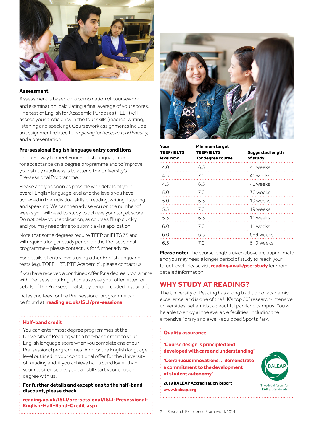

#### **Assessment**

Assessment is based on a combination of coursework and examination, calculating a final average of your scores. The test of English for Academic Purposes (TEEP) will assess your proficiency in the four skills (reading, writing, listening and speaking). Coursework assignments include an assignment related to *Preparing for Research and Enquiry*, and a presentation.

#### **Pre-sessional English language entry conditions**

The best way to meet your English language condition for acceptance on a degree programme and to improve your study readiness is to attend the University's Pre-sessional Programme.

Please apply as soon as possible with details of your overall English language level and the levels you have achieved in the individual skills of reading, writing, listening and speaking. We can then advise you on the number of weeks you will need to study to achieve your target score. Do not delay your application, as courses fill up quickly, and you may need time to submit a visa application.

Note that some degrees require TEEP or IELTS 7.5 and will require a longer study period on the Pre-sessional programme – please contact us for further advice.

For details of entry levels using other English language tests (e.g. TOEFL iBT, PTE Academic), please contact us.

If you have received a combined offer for a degree programme with Pre-sessional English, please see your offer letter for details of the Pre-sessional study period included in your offer.

Dates and fees for the Pre-sessional programme can be found at: **[reading.ac.uk/ISLI/pre-sessional](http://www.reading.ac.uk/ISLI/pre-sessional)**

#### **Half-band credit**

You can enter most degree programmes at the University of Reading with a half-band credit to your English language score when you complete one of our Pre-sessional programmes. Aim for the English language level outlined in your conditional offer for the University of Reading and, if you achieve half a band lower than your required score, you can still start your chosen degree with us.

**For further details and exceptions to the half-band discount, please check**

**[reading.ac.uk/ISLI/pre-sessional/ISLI-Presessional-](http://reading.ac.uk/ISLI/pre-sessional/ISLI-Presessional-English-Half-Band-Credit.aspx)[English-Half-Band-Credit.aspx](http://reading.ac.uk/ISLI/pre-sessional/ISLI-Presessional-English-Half-Band-Credit.aspx)**



| Your<br><b>TEEP/IELTS</b><br>level now | Minimum target<br><b>TEEP/IELTS</b><br>for degree course | Suggested length<br>of study |
|----------------------------------------|----------------------------------------------------------|------------------------------|
| 4.0                                    | 6.5                                                      | 41 weeks                     |
| 4.5                                    | 7.0                                                      | 41 weeks                     |
| 4.5                                    | 6.5                                                      | 41 weeks                     |
| 5.0<br>$\frac{7.0}{2}$                 |                                                          | 30 weeks                     |
| 5.0<br>6.5                             |                                                          | 19 weeks                     |
| 5.5                                    | 7.0                                                      | 19 weeks                     |
| 5.5<br>6.5                             |                                                          | 11 weeks                     |
| 6.0<br>7.0                             |                                                          | 11 weeks                     |
| 6.0<br>6.5                             |                                                          | 6–9 weeks                    |
| 6.5                                    | 70                                                       | 6-9 weeks                    |

**Please note:** The course lengths given above are approximate and you may need a longer period of study to reach your target level. Please visit **[reading.ac.uk/pse-study](https://www.reading.ac.uk/pse-study)** for more detailed information.

## **WHY STUDY AT READING?**

The University of Reading has a long tradition of academic excellence, and is one of the UK's top 20<sup>2</sup> research-intensive universities, set amidst a beautiful parkland campus. You will be able to enjoy all the available facilities, including the extensive library and a well-equipped SportsPark.

#### **Quality assurance**

**'Course design is principled and developed with care and understanding'**

**'Continuous innovations … demonstrate a commitment to the development of student autonomy'**

**2019 BALEAP Accreditation Report [www.baleap.org](http://www.baleap.org)**



2 Research Excellence Framework 2014